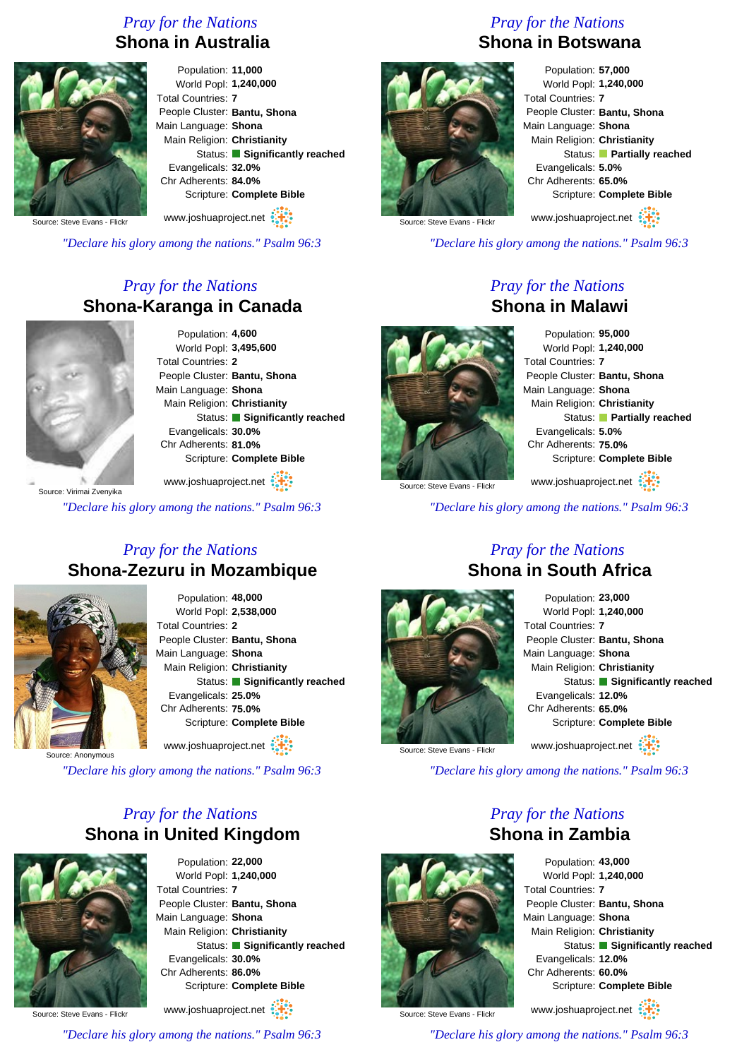### *Pray for the Nations* **Shona in Australia**



Population: **11,000** World Popl: **1,240,000** Total Countries: **7** People Cluster: **Bantu, Shona** Main Language: **Shona** Main Religion: **Christianity** Status: **Significantly reached** Evangelicals: **32.0%** Chr Adherents: **84.0%** Scripture: **Complete Bible**

www.joshuaproject.net

Source: Steve Evans - Flick

*"Declare his glory among the nations." Psalm 96:3*

## *Pray for the Nations* **Shona-Karanga in Canada**



Population: **4,600** World Popl: **3,495,600** Total Countries: **2** People Cluster: **Bantu, Shona** Main Language: **Shona** Main Religion: **Christianity** Status: **Significantly reached** Evangelicals: **30.0%** Chr Adherents: **81.0%** Scripture: **Complete Bible**

Source: Virimai Zvenyika www.joshuaproject.net

*"Declare his glory among the nations." Psalm 96:3*

#### *Pray for the Nations* **Shona-Zezuru in Mozambique**



Population: **48,000** World Popl: **2,538,000** Total Countries: **2** People Cluster: **Bantu, Shona** Main Language: **Shona** Main Religion: **Christianity** Status: **Significantly reached** Evangelicals: **25.0%** Chr Adherents: **75.0%** Scripture: **Complete Bible** www.joshuaproject.net

Source: Anonymous

*"Declare his glory among the nations." Psalm 96:3*

# *Pray for the Nations* **Shona in United Kingdom**



Population: **22,000** World Popl: **1,240,000** Total Countries: **7** People Cluster: **Bantu, Shona** Main Language: **Shona** Main Religion: **Christianity** Status: **Significantly reached** Evangelicals: **30.0%** Chr Adherents: **86.0%** Scripture: **Complete Bible** www.joshuaproject.net

Source: Steve Evans - Flick

*"Declare his glory among the nations." Psalm 96:3*

# *Pray for the Nations* **Shona in Botswana**



Population: **57,000** World Popl: **1,240,000** Total Countries: **7** People Cluster: **Bantu, Shona** Main Language: **Shona** Main Religion: **Christianity** Status: **Partially reached** Evangelicals: **5.0%** Chr Adherents: **65.0%** Scripture: **Complete Bible**

www.joshuaproject.net

Source: Steve Evans - Flickr

*"Declare his glory among the nations." Psalm 96:3*

*Pray for the Nations*

**Shona in Malawi**

Source: Steve Evans - Flick

Population: **95,000** World Popl: **1,240,000** Total Countries: **7** People Cluster: **Bantu, Shona** Main Language: **Shona** Main Religion: **Christianity** Status: **Partially reached** Evangelicals: **5.0%**

Scripture: **Complete Bible**

www.joshuaproject.net

Chr Adherents: **75.0%**

*"Declare his glory among the nations." Psalm 96:3*



#### *Pray for the Nations* **Shona in South Africa**

Population: **23,000** World Popl: **1,240,000** Total Countries: **7** People Cluster: **Bantu, Shona** Main Language: **Shona** Main Religion: **Christianity** Status: **Significantly reached** Evangelicals: **12.0%** Chr Adherents: **65.0%** Scripture: **Complete Bible** www.joshuaproject.net

Source: Steve Evans - Flick

*"Declare his glory among the nations." Psalm 96:3*

*Pray for the Nations*



**Shona in Zambia** Population: **43,000** World Popl: **1,240,000** Total Countries: **7** People Cluster: **Bantu, Shona**

Main Language: **Shona** Main Religion: **Christianity** Status: **Significantly reached** Evangelicals: **12.0%** Chr Adherents: **60.0%** Scripture: **Complete Bible**

Source: Steve Evans - Flick

www.joshuaproject.net

*"Declare his glory among the nations." Psalm 96:3*